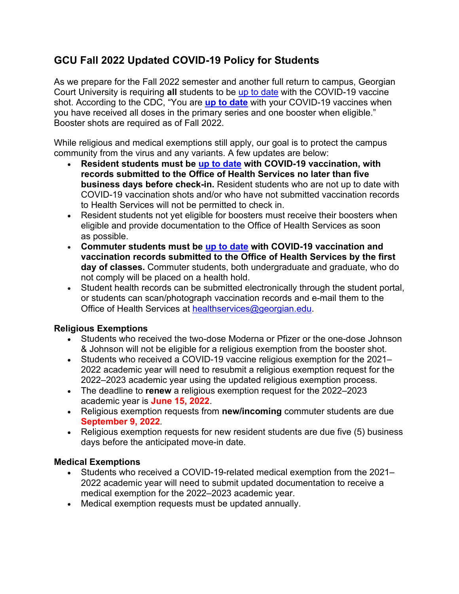# **GCU Fall 2022 Updated COVID-19 Policy for Students**

As we prepare for the Fall 2022 semester and another full return to campus, Georgian Court University is requiring **all** students to be [up to date](https://www.cdc.gov/coronavirus/2019-ncov/vaccines/stay-up-to-date.html#recommendations) with the COVID-19 vaccine shot. According to the CDC, "You are **[up to date](https://www.cdc.gov/coronavirus/2019-ncov/vaccines/stay-up-to-date.html#recommendations)** with your COVID-19 vaccines when you have received all doses in the primary series and one booster when eligible." Booster shots are required as of Fall 2022.

While religious and medical exemptions still apply, our goal is to protect the campus community from the virus and any variants. A few updates are below:

- **Resident students must be [up to date](https://www.cdc.gov/coronavirus/2019-ncov/vaccines/stay-up-to-date.html#recommendations) with COVID-19 vaccination, with records submitted to the Office of Health Services no later than five business days before check-in.** Resident students who are not up to date with COVID-19 vaccination shots and/or who have not submitted vaccination records to Health Services will not be permitted to check in.
- Resident students not yet eligible for boosters must receive their boosters when eligible and provide documentation to the Office of Health Services as soon as possible.
- **Commuter students must be [up to date](https://www.cdc.gov/coronavirus/2019-ncov/vaccines/stay-up-to-date.html#recommendations) with COVID-19 vaccination and vaccination records submitted to the Office of Health Services by the first day of classes.** Commuter students, both undergraduate and graduate, who do not comply will be placed on a health hold.
- Student health records can be submitted electronically through the student portal, or students can scan/photograph vaccination records and e-mail them to the Office of Health Services at [healthservices@georgian.edu.](mailto:healthservices@georgian.edu)

## **Religious Exemptions**

- Students who received the two-dose Moderna or Pfizer or the one-dose Johnson & Johnson will not be eligible for a religious exemption from the booster shot.
- Students who received a COVID-19 vaccine religious exemption for the 2021– 2022 academic year will need to resubmit a religious exemption request for the 2022–2023 academic year using the updated religious exemption process.
- The deadline to **renew** a religious exemption request for the 2022–2023 academic year is **June 15, 2022**.
- Religious exemption requests from **new/incoming** commuter students are due **September 9, 2022***.*
- Religious exemption requests for new resident students are due five (5) business days before the anticipated move-in date.

## **Medical Exemptions**

- Students who received a COVID-19-related medical exemption from the 2021– 2022 academic year will need to submit updated documentation to receive a medical exemption for the 2022–2023 academic year.
- Medical exemption requests must be updated annually.